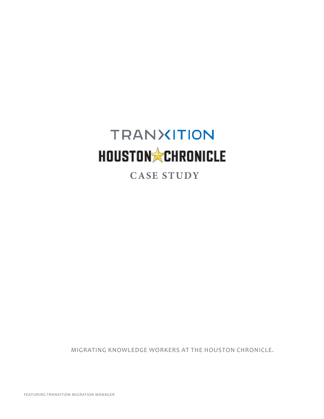## **TRANXITION** HOUSTON CHRONICLE

 **CASE STUDY**

MIGRATING KNOWLEDGE WORKERS AT THE HOUSTON CHRONICLE.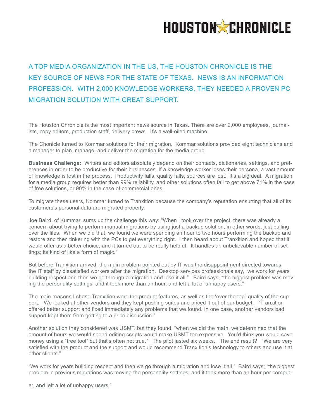

## A TOP MEDIA ORGANIZATION IN THE US, THE HOUSTON CHRONICLE IS THE KEY SOURCE OF NEWS FOR THE STATE OF TEXAS. NEWS IS AN INFORMATION PROFESSION. WITH 2,000 KNOWLEDGE WORKERS, THEY NEEDED A PROVEN PC MIGRATION SOLUTION WITH GREAT SUPPORT.

The Houston Chronicle is the most important news source in Texas. There are over 2,000 employees, journalists, copy editors, production staff, delivery crews. It's a well-oiled machine.

The Chonicle turned to Kommar solutions for their migration. Kommar solutions provided eight technicians and a manager to plan, manage, and deliver the migration for the media group.

**Business Challenge:** Writers and editors absolutely depend on their contacts, dictionaries, settings, and preferences in order to be productive for their businesses. If a knowledge worker loses their persona, a vast amount of knowledge is lost in the process. Productivity falls, quality falls, sources are lost. It's a big deal. A migration for a media group requires better than 99% reliability, and other solutions often fail to get above 71% in the case of free solutions, or 90% in the case of commercial ones.

To migrate these users, Kommar turned to Tranxition because the company's reputation ensurting that all of its customers's personal data are migrated properly.

Joe Baird, of Kummar, sums up the challenge this way: "When I took over the project, there was already a concern about trying to perform manual migrations by using just a backup solution, in other words, just pulling over the files. When we did that, we found we were spending an hour to two hours performing the backup and restore and then tinkering with the PCs to get everything right. I then heard about Tranxition and hoped that it would offer us a better choice, and it turned out to be really helpful. It handles an unbelievable number of settings; its kind of like a form of magic."

But before Tranxition arrived, the main problem pointed out by IT was the disappointment directed towards the IT staff by dissatisfied workers after the migration. Desktop services professionals say, "we work for years building respect and then we go through a migration and lose it all." Baird says, "the biggest problem was moving the personality settings, and it took more than an hour, and left a lot of unhappy users."

The main reasons I chose Tranxition were the product features, as well as the 'over the top" quality of the support. We looked at other vendors and they kept pushing suites and priced it out of our budget. "Tranxition offered better support and fixed immediately any problems that we found. In one case, another vendors bad support kept them from getting to a price discussion."

Another solution they considered was USMT, but they found, "when we did the math, we determined that the amount of hours we would spend editing scripts would make USMT too expensive. You'd think you would save money using a "free tool" but that's often not true." The pilot lasted six weeks. The end result? "We are very satisfied with the product and the support and would recommend Tranxition's technology to others and use it at other clients."

"We work for years building respect and then we go through a migration and lose it all," Baird says; "the biggest problem in previous migrations was moving the personality settings, and it took more than an hour per comput-

er, and left a lot of unhappy users."